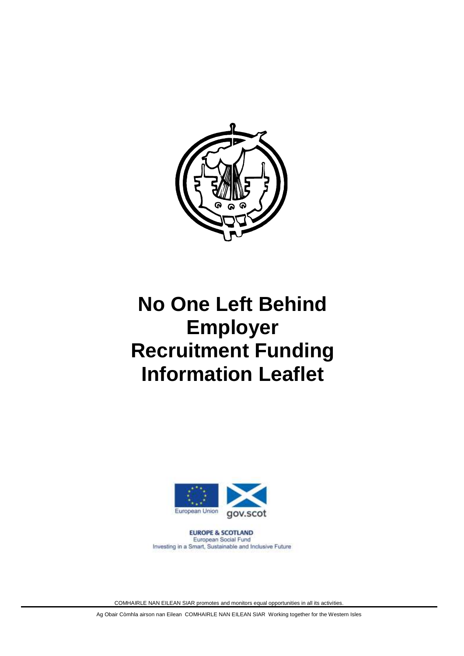

# **No One Left Behind Employer Recruitment Funding Information Leaflet**



**EUROPE & SCOTLAND** European Social Fund Investing in a Smart, Sustainable and Inclusive Future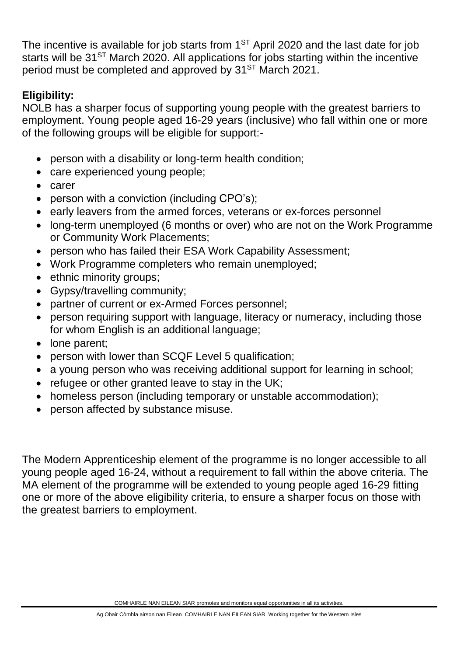The incentive is available for job starts from  $1<sup>ST</sup>$  April 2020 and the last date for job starts will be  $31^{ST}$  March 2020. All applications for jobs starting within the incentive period must be completed and approved by 31<sup>ST</sup> March 2021.

#### **Eligibility:**

NOLB has a sharper focus of supporting young people with the greatest barriers to employment. Young people aged 16-29 years (inclusive) who fall within one or more of the following groups will be eligible for support:-

- person with a disability or long-term health condition;
- care experienced young people;
- carer
- person with a conviction (including CPO's);
- early leavers from the armed forces, veterans or ex-forces personnel
- long-term unemployed (6 months or over) who are not on the Work Programme or Community Work Placements;
- person who has failed their ESA Work Capability Assessment;
- Work Programme completers who remain unemployed;
- ethnic minority groups;
- Gypsy/travelling community;
- partner of current or ex-Armed Forces personnel;
- person requiring support with language, literacy or numeracy, including those for whom English is an additional language;
- lone parent;
- person with lower than SCQF Level 5 qualification;
- a young person who was receiving additional support for learning in school;
- refugee or other granted leave to stay in the UK;
- homeless person (including temporary or unstable accommodation);
- person affected by substance misuse.

The Modern Apprenticeship element of the programme is no longer accessible to all young people aged 16-24, without a requirement to fall within the above criteria. The MA element of the programme will be extended to young people aged 16-29 fitting one or more of the above eligibility criteria, to ensure a sharper focus on those with the greatest barriers to employment.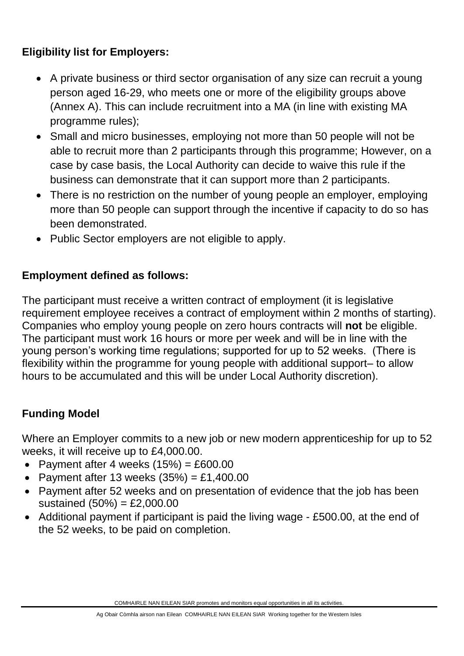#### **Eligibility list for Employers:**

- A private business or third sector organisation of any size can recruit a young person aged 16-29, who meets one or more of the eligibility groups above (Annex A). This can include recruitment into a MA (in line with existing MA programme rules);
- Small and micro businesses, employing not more than 50 people will not be able to recruit more than 2 participants through this programme; However, on a case by case basis, the Local Authority can decide to waive this rule if the business can demonstrate that it can support more than 2 participants.
- There is no restriction on the number of young people an employer, employing more than 50 people can support through the incentive if capacity to do so has been demonstrated.
- Public Sector employers are not eligible to apply.

### **Employment defined as follows:**

The participant must receive a written contract of employment (it is legislative requirement employee receives a contract of employment within 2 months of starting). Companies who employ young people on zero hours contracts will **not** be eligible. The participant must work 16 hours or more per week and will be in line with the young person's working time regulations; supported for up to 52 weeks. (There is flexibility within the programme for young people with additional support– to allow hours to be accumulated and this will be under Local Authority discretion).

## **Funding Model**

Where an Employer commits to a new job or new modern apprenticeship for up to 52 weeks, it will receive up to £4,000.00.

- Payment after 4 weeks  $(15%) = £600.00$
- Payment after 13 weeks  $(35%) = £1,400.00$
- Payment after 52 weeks and on presentation of evidence that the job has been sustained (50%) = £2,000.00
- Additional payment if participant is paid the living wage £500.00, at the end of the 52 weeks, to be paid on completion.